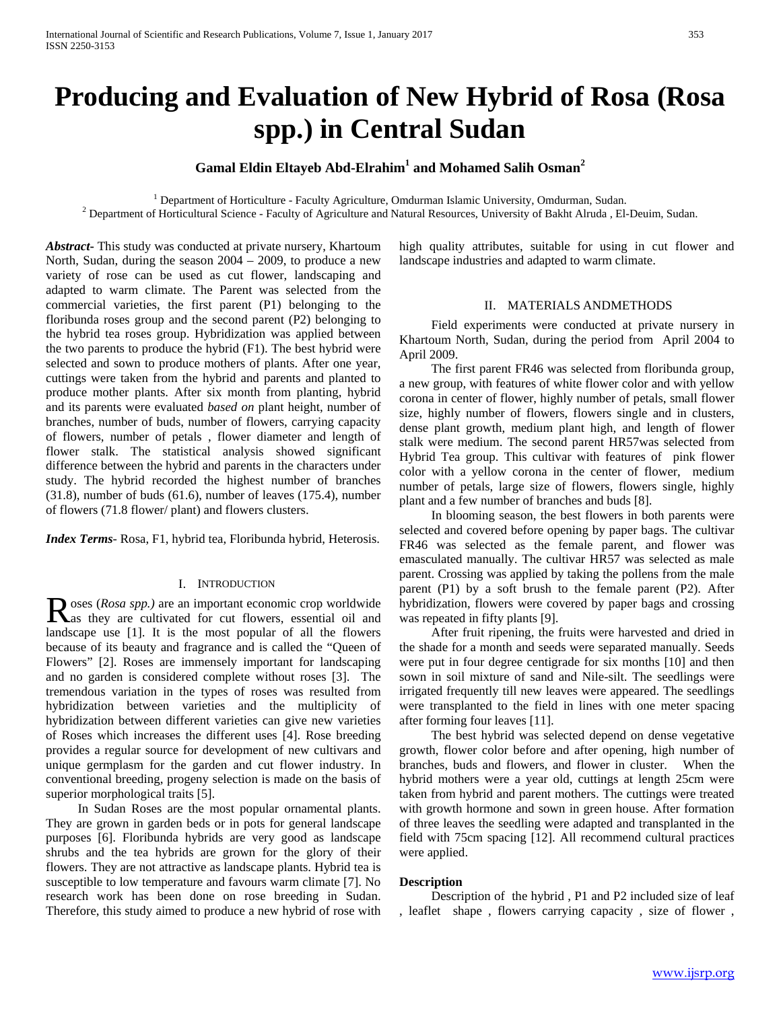# **Producing and Evaluation of New Hybrid of Rosa (Rosa spp.) in Central Sudan**

# **Gamal Eldin Eltayeb Abd-Elrahim1 and Mohamed Salih Osman<sup>2</sup>**

<sup>1</sup> Department of Horticulture - Faculty Agriculture, Omdurman Islamic University, Omdurman, Sudan.<br><sup>2</sup> Department of Horticultural Science - Faculty of Agriculture and Natural Resources, University of Bakht Alruda, El-De

*Abstract***-** This study was conducted at private nursery, Khartoum North, Sudan, during the season 2004 – 2009, to produce a new variety of rose can be used as cut flower, landscaping and adapted to warm climate. The Parent was selected from the commercial varieties, the first parent (P1) belonging to the floribunda roses group and the second parent (P2) belonging to the hybrid tea roses group. Hybridization was applied between the two parents to produce the hybrid (F1). The best hybrid were selected and sown to produce mothers of plants. After one year, cuttings were taken from the hybrid and parents and planted to produce mother plants. After six month from planting, hybrid and its parents were evaluated *based on* plant height, number of branches, number of buds, number of flowers, carrying capacity of flowers, number of petals , flower diameter and length of flower stalk. The statistical analysis showed significant difference between the hybrid and parents in the characters under study. The hybrid recorded the highest number of branches (31.8), number of buds (61.6), number of leaves (175.4), number of flowers (71.8 flower/ plant) and flowers clusters.

*Index Terms*- Rosa, F1, hybrid tea, Floribunda hybrid, Heterosis.

# I. INTRODUCTION

oses (*Rosa spp.)* are an important economic crop worldwide Roses (Rosa spp.) are an important economic crop worldwide<br>
Ras they are cultivated for cut flowers, essential oil and landscape use [1]. It is the most popular of all the flowers because of its beauty and fragrance and is called the "Queen of Flowers" [2]. Roses are immensely important for landscaping and no garden is considered complete without roses [3]. The tremendous variation in the types of roses was resulted from hybridization between varieties and the multiplicity of hybridization between different varieties can give new varieties of Roses which increases the different uses [4]. Rose breeding provides a regular source for development of new cultivars and unique germplasm for the garden and cut flower industry. In conventional breeding, progeny selection is made on the basis of superior morphological traits [5].

 In Sudan Roses are the most popular ornamental plants. They are grown in garden beds or in pots for general landscape purposes [6]. Floribunda hybrids are very good as landscape shrubs and the tea hybrids are grown for the glory of their flowers. They are not attractive as landscape plants. Hybrid tea is susceptible to low temperature and favours warm climate [7]. No research work has been done on rose breeding in Sudan. Therefore, this study aimed to produce a new hybrid of rose with high quality attributes, suitable for using in cut flower and landscape industries and adapted to warm climate.

## II. MATERIALS ANDMETHODS

 Field experiments were conducted at private nursery in Khartoum North, Sudan, during the period from April 2004 to April 2009.

 The first parent FR46 was selected from floribunda group, a new group, with features of white flower color and with yellow corona in center of flower, highly number of petals, small flower size, highly number of flowers, flowers single and in clusters, dense plant growth, medium plant high, and length of flower stalk were medium. The second parent HR57was selected from Hybrid Tea group. This cultivar with features of pink flower color with a yellow corona in the center of flower, medium number of petals, large size of flowers, flowers single, highly plant and a few number of branches and buds [8].

 In blooming season, the best flowers in both parents were selected and covered before opening by paper bags. The cultivar FR46 was selected as the female parent, and flower was emasculated manually. The cultivar HR57 was selected as male parent. Crossing was applied by taking the pollens from the male parent (P1) by a soft brush to the female parent (P2). After hybridization, flowers were covered by paper bags and crossing was repeated in fifty plants [9].

 After fruit ripening, the fruits were harvested and dried in the shade for a month and seeds were separated manually. Seeds were put in four degree centigrade for six months [10] and then sown in soil mixture of sand and Nile-silt. The seedlings were irrigated frequently till new leaves were appeared. The seedlings were transplanted to the field in lines with one meter spacing after forming four leaves [11].

 The best hybrid was selected depend on dense vegetative growth, flower color before and after opening, high number of branches, buds and flowers, and flower in cluster. When the hybrid mothers were a year old, cuttings at length 25cm were taken from hybrid and parent mothers. The cuttings were treated with growth hormone and sown in green house. After formation of three leaves the seedling were adapted and transplanted in the field with 75cm spacing [12]. All recommend cultural practices were applied.

# **Description**

 Description of the hybrid , P1 and P2 included size of leaf , leaflet shape , flowers carrying capacity , size of flower ,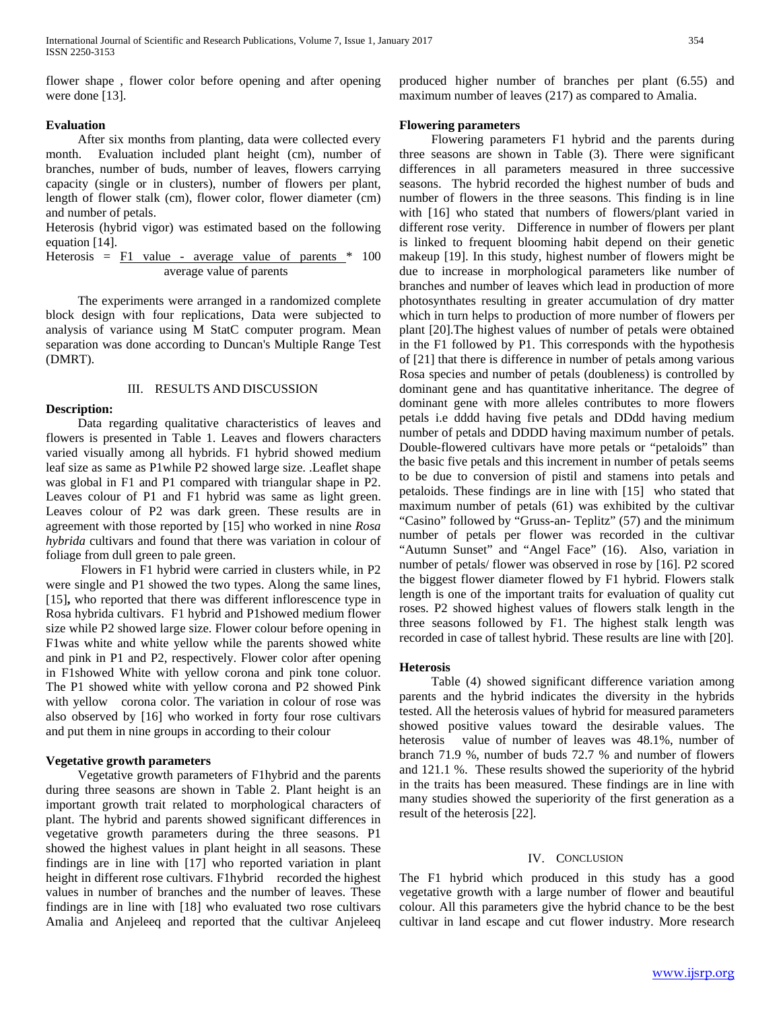International Journal of Scientific and Research Publications, Volume 7, Issue 1, January 2017 354 ISSN 2250-3153

flower shape , flower color before opening and after opening were done [13].

# **Evaluation**

 After six months from planting, data were collected every month. Evaluation included plant height (cm), number of branches, number of buds, number of leaves, flowers carrying capacity (single or in clusters), number of flowers per plant, length of flower stalk (cm), flower color, flower diameter (cm) and number of petals.

Heterosis (hybrid vigor) was estimated based on the following equation [14].

Heterosis =  $\overline{F1}$  value - average value of parents  $*$  100 average value of parents

 The experiments were arranged in a randomized complete block design with four replications, Data were subjected to analysis of variance using M StatC computer program. Mean separation was done according to Duncan's Multiple Range Test (DMRT).

#### III. RESULTS AND DISCUSSION

## **Description:**

 Data regarding qualitative characteristics of leaves and flowers is presented in Table 1. Leaves and flowers characters varied visually among all hybrids. F1 hybrid showed medium leaf size as same as P1while P2 showed large size. .Leaflet shape was global in F1 and P1 compared with triangular shape in P2. Leaves colour of P1 and F1 hybrid was same as light green. Leaves colour of P2 was dark green. These results are in agreement with those reported by [15] who worked in nine *Rosa hybrida* cultivars and found that there was variation in colour of foliage from dull green to pale green.

 Flowers in F1 hybrid were carried in clusters while, in P2 were single and P1 showed the two types. Along the same lines, [15]**,** who reported that there was different inflorescence type in Rosa hybrida cultivars. F1 hybrid and P1showed medium flower size while P2 showed large size. Flower colour before opening in F1was white and white yellow while the parents showed white and pink in P1 and P2, respectively. Flower color after opening in F1showed White with yellow corona and pink tone coluor. The P1 showed white with yellow corona and P2 showed Pink with yellow corona color. The variation in colour of rose was also observed by [16] who worked in forty four rose cultivars and put them in nine groups in according to their colour

# **Vegetative growth parameters**

 Vegetative growth parameters of F1hybrid and the parents during three seasons are shown in Table 2. Plant height is an important growth trait related to morphological characters of plant. The hybrid and parents showed significant differences in vegetative growth parameters during the three seasons. P1 showed the highest values in plant height in all seasons. These findings are in line with [17] who reported variation in plant height in different rose cultivars. F1hybrid recorded the highest values in number of branches and the number of leaves. These findings are in line with [18] who evaluated two rose cultivars Amalia and Anjeleeq and reported that the cultivar Anjeleeq

produced higher number of branches per plant (6.55) and maximum number of leaves (217) as compared to Amalia.

# **Flowering parameters**

 Flowering parameters F1 hybrid and the parents during three seasons are shown in Table (3). There were significant differences in all parameters measured in three successive seasons. The hybrid recorded the highest number of buds and number of flowers in the three seasons. This finding is in line with [16] who stated that numbers of flowers/plant varied in different rose verity. Difference in number of flowers per plant is linked to frequent blooming habit depend on their genetic makeup [19]. In this study, highest number of flowers might be due to increase in morphological parameters like number of branches and number of leaves which lead in production of more photosynthates resulting in greater accumulation of dry matter which in turn helps to production of more number of flowers per plant [20].The highest values of number of petals were obtained in the F1 followed by P1. This corresponds with the hypothesis of [21] that there is difference in number of petals among various Rosa species and number of petals (doubleness) is controlled by dominant gene and has quantitative inheritance. The degree of dominant gene with more alleles contributes to more flowers petals i.e dddd having five petals and DDdd having medium number of petals and DDDD having maximum number of petals. Double-flowered cultivars have more petals or "petaloids" than the basic five petals and this increment in number of petals seems to be due to conversion of pistil and stamens into petals and petaloids. These findings are in line with [15] who stated that maximum number of petals (61) was exhibited by the cultivar "Casino" followed by "Gruss-an- Teplitz" (57) and the minimum number of petals per flower was recorded in the cultivar "Autumn Sunset" and "Angel Face" (16). Also, variation in number of petals/ flower was observed in rose by [16]. P2 scored the biggest flower diameter flowed by F1 hybrid. Flowers stalk length is one of the important traits for evaluation of quality cut roses. P2 showed highest values of flowers stalk length in the three seasons followed by F1. The highest stalk length was recorded in case of tallest hybrid. These results are line with [20].

## **Heterosis**

 Table (4) showed significant difference variation among parents and the hybrid indicates the diversity in the hybrids tested. All the heterosis values of hybrid for measured parameters showed positive values toward the desirable values. The heterosis value of number of leaves was 48.1%, number of branch 71.9 %, number of buds 72.7 % and number of flowers and 121.1 %. These results showed the superiority of the hybrid in the traits has been measured. These findings are in line with many studies showed the superiority of the first generation as a result of the heterosis [22].

## IV. CONCLUSION

The F1 hybrid which produced in this study has a good vegetative growth with a large number of flower and beautiful colour. All this parameters give the hybrid chance to be the best cultivar in land escape and cut flower industry. More research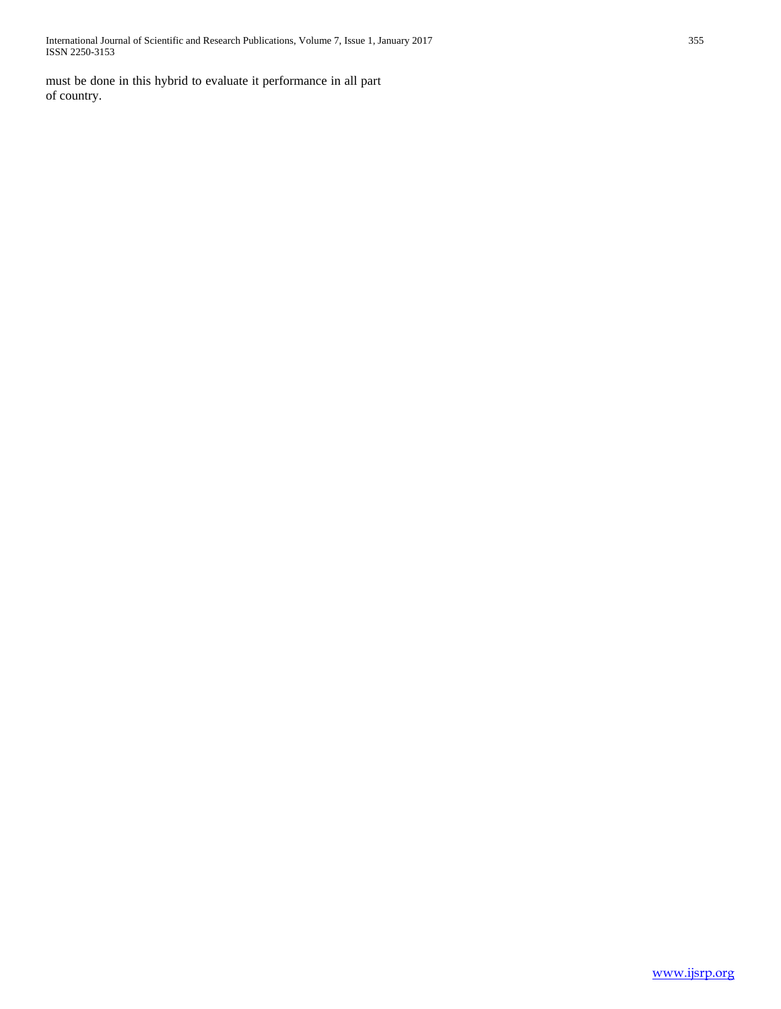International Journal of Scientific and Research Publications, Volume 7, Issue 1, January 2017 355 ISSN 2250-3153

must be done in this hybrid to evaluate it performance in all part of country.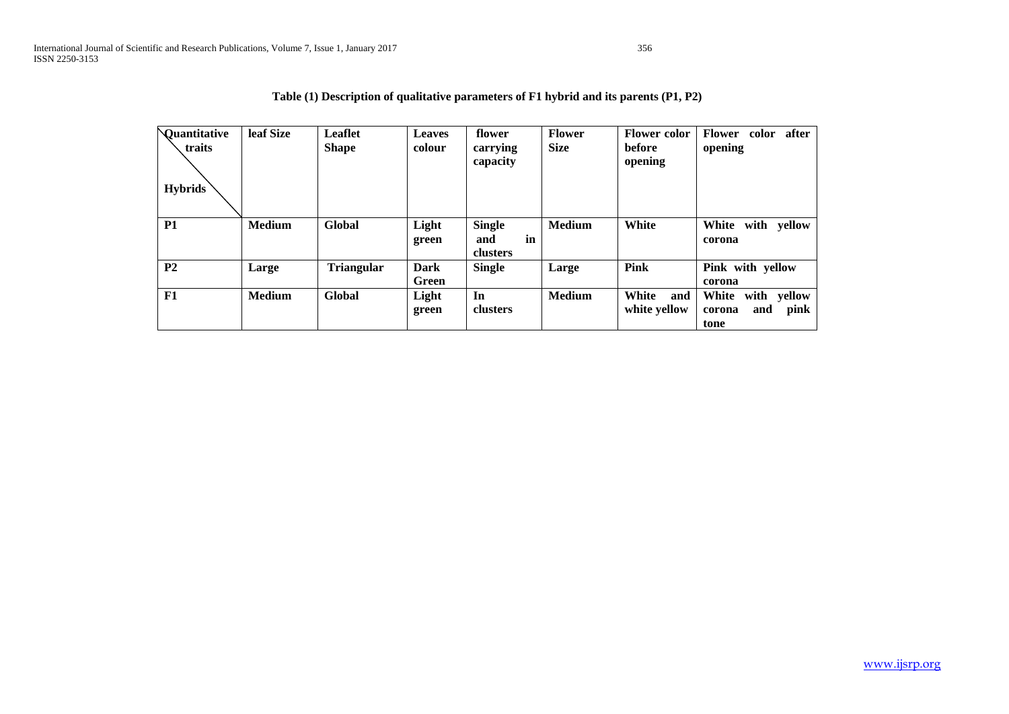| <b>Quantitative</b><br>traits<br><b>Hybrids</b> | leaf Size     | <b>Leaflet</b><br><b>Shape</b> | <b>Leaves</b><br>colour | flower<br>carrying<br>capacity         | <b>Flower</b><br><b>Size</b> | <b>Flower color</b><br>before<br>opening | after<br><b>Flower</b><br>color<br>opening               |
|-------------------------------------------------|---------------|--------------------------------|-------------------------|----------------------------------------|------------------------------|------------------------------------------|----------------------------------------------------------|
| <b>P1</b>                                       | <b>Medium</b> | <b>Global</b>                  | Light<br>green          | <b>Single</b><br>in<br>and<br>clusters | <b>Medium</b>                | White                                    | White<br>with yellow<br>corona                           |
| P <sub>2</sub>                                  | Large         | <b>Triangular</b>              | Dark<br>Green           | <b>Single</b>                          | Large                        | Pink                                     | Pink with yellow<br>corona                               |
| F1                                              | <b>Medium</b> | Global                         | Light<br>green          | In<br>clusters                         | <b>Medium</b>                | White<br>and<br>white yellow             | White<br>with<br>yellow<br>pink<br>and<br>corona<br>tone |

|  |  | Table $(1)$ Description of qualitative parameters of F1 hybrid and its parents $(P1, P2)$ |  |
|--|--|-------------------------------------------------------------------------------------------|--|
|--|--|-------------------------------------------------------------------------------------------|--|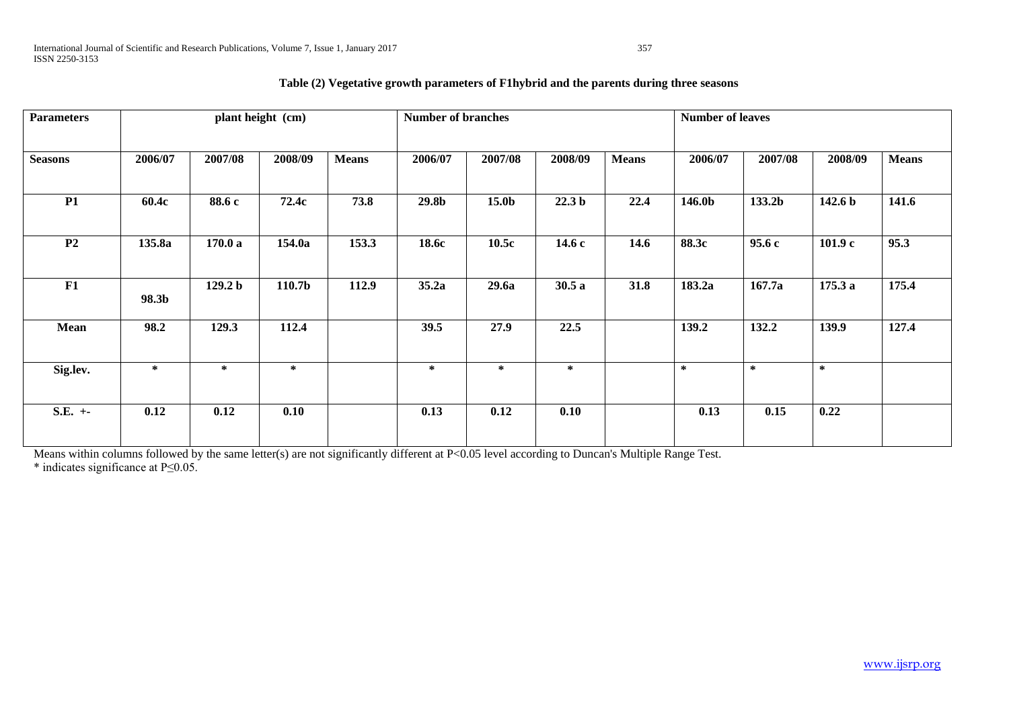| <b>Parameters</b> | plant height (cm) |                    |         |              | <b>Number of branches</b> |         |                   |              | <b>Number of leaves</b> |         |                    |              |  |  |  |
|-------------------|-------------------|--------------------|---------|--------------|---------------------------|---------|-------------------|--------------|-------------------------|---------|--------------------|--------------|--|--|--|
| <b>Seasons</b>    | 2006/07           | 2007/08            | 2008/09 | <b>Means</b> | 2006/07                   | 2007/08 | 2008/09           | <b>Means</b> | 2006/07                 | 2007/08 | 2008/09            | <b>Means</b> |  |  |  |
| <b>P1</b>         | 60.4c             | 88.6 c             | 72.4c   | 73.8         | 29.8b                     | 15.0b   | 22.3 <sub>b</sub> | 22.4         | 146.0b                  | 133.2b  | 142.6 <sub>b</sub> | 141.6        |  |  |  |
| P <sub>2</sub>    | 135.8a            | 170.0a             | 154.0a  | 153.3        | 18.6c                     | 10.5c   | 14.6c             | 14.6         | 88.3c                   | 95.6c   | 101.9c             | 95.3         |  |  |  |
| F1                | 98.3b             | 129.2 <sub>b</sub> | 110.7b  | 112.9        | 35.2a                     | 29.6a   | 30.5a             | 31.8         | 183.2a                  | 167.7a  | 175.3a             | 175.4        |  |  |  |
| Mean              | 98.2              | 129.3              | 112.4   |              | 39.5                      | 27.9    | 22.5              |              | 139.2                   | 132.2   | 139.9              | 127.4        |  |  |  |
| Sig.lev.          | $\ast$            | $\ast$             | ∗       |              | $\ast$                    | $\ast$  | $\ast$            |              | $\ast$                  | $\ast$  | ∗                  |              |  |  |  |
| $S.E. +-$         | 0.12              | 0.12               | 0.10    |              | 0.13                      | 0.12    | 0.10              |              | 0.13                    | 0.15    | 0.22               |              |  |  |  |

# **Table (2) Vegetative growth parameters of F1hybrid and the parents during three seasons**

Means within columns followed by the same letter(s) are not significantly different at P<0.05 level according to Duncan's Multiple Range Test. \* indicates significance at P≤0.05.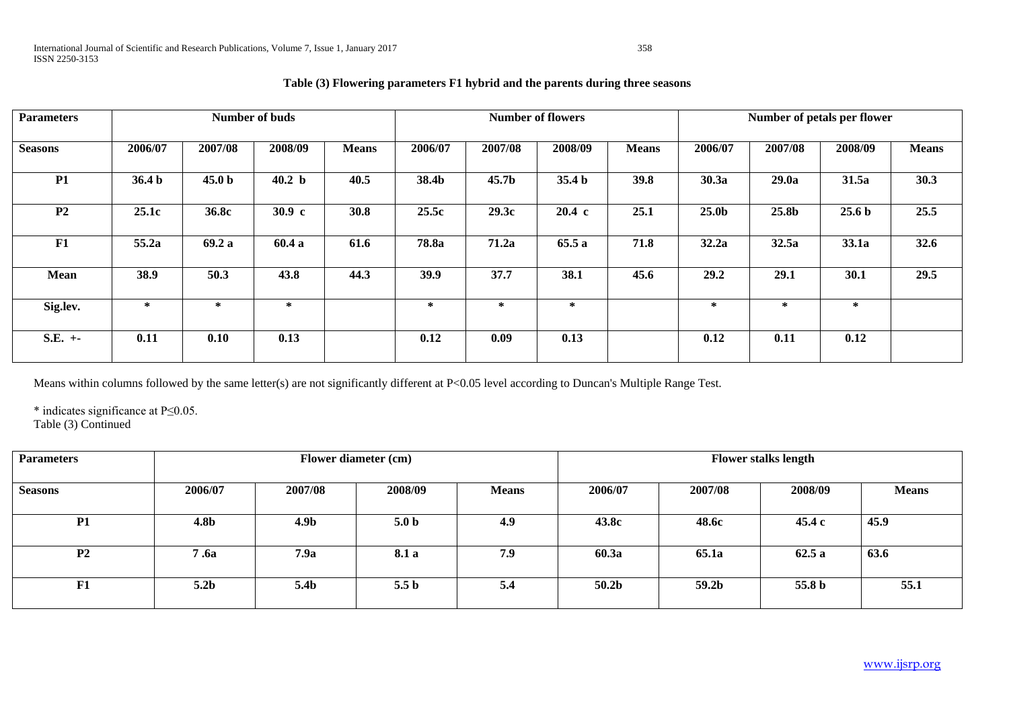| <b>Parameters</b> | Number of buds    |                   |                   |              |         |                   | <b>Number of flowers</b> |              | Number of petals per flower |         |                   |              |  |
|-------------------|-------------------|-------------------|-------------------|--------------|---------|-------------------|--------------------------|--------------|-----------------------------|---------|-------------------|--------------|--|
| <b>Seasons</b>    | 2006/07           | 2007/08           | 2008/09           | <b>Means</b> | 2006/07 | 2007/08           | 2008/09                  | <b>Means</b> | 2006/07                     | 2007/08 | 2008/09           | <b>Means</b> |  |
| P1                | 36.4 <sub>b</sub> | 45.0 <sub>b</sub> | 40.2 <sub>b</sub> | 40.5         | 38.4b   | 45.7 <sub>b</sub> | 35.4 <sub>b</sub>        | 39.8         | 30.3a                       | 29.0a   | 31.5a             | 30.3         |  |
| P <sub>2</sub>    | 25.1c             | 36.8c             | 30.9 <sub>c</sub> | 30.8         | 25.5c   | 29.3c             | $20.4 \text{ c}$         | 25.1         | 25.0 <sub>b</sub>           | 25.8b   | 25.6 <sub>b</sub> | 25.5         |  |
| F1                | 55.2a             | 69.2a             | 60.4 a            | 61.6         | 78.8a   | 71.2a             | 65.5a                    | 71.8         | 32.2a                       | 32.5a   | 33.1a             | 32.6         |  |
| <b>Mean</b>       | 38.9              | 50.3              | 43.8              | 44.3         | 39.9    | 37.7              | 38.1                     | 45.6         | 29.2                        | 29.1    | 30.1              | 29.5         |  |
| Sig.lev.          | ∗                 | *                 | $\ast$            |              | $\ast$  | $\ast$            | *                        |              | *                           | $\ast$  | $\ast$            |              |  |
| $S.E. +-$         | 0.11              | 0.10              | 0.13              |              | 0.12    | 0.09              | 0.13                     |              | 0.12                        | 0.11    | 0.12              |              |  |

Means within columns followed by the same letter(s) are not significantly different at P<0.05 level according to Duncan's Multiple Range Test.

\* indicates significance at P≤0.05.

Table (3) Continued

| <b>Parameters</b> |                  | Flower diameter (cm) |                  |              | <b>Flower stalks length</b> |         |         |              |  |  |
|-------------------|------------------|----------------------|------------------|--------------|-----------------------------|---------|---------|--------------|--|--|
| <b>Seasons</b>    | 2006/07          | 2007/08              | 2008/09          | <b>Means</b> | 2006/07                     | 2007/08 | 2008/09 | <b>Means</b> |  |  |
| <b>P1</b>         | <b>4.8b</b>      | 4.9 <sub>b</sub>     | 5.0 <sub>b</sub> | 4.9          | 43.8c                       | 48.6c   | 45.4 c  | 45.9         |  |  |
| P <sub>2</sub>    | 7.6a             | 7.9a                 | 8.1 a            | 7.9          | 60.3a                       | 65.1a   | 62.5a   | 63.6         |  |  |
| F1                | 5.2 <sub>b</sub> | 5.4b                 | 5.5 <sub>b</sub> | 5.4          | 50.2b                       | 59.2b   | 55.8 b  | 55.1         |  |  |

# **Table (3) Flowering parameters F1 hybrid and the parents during three seasons**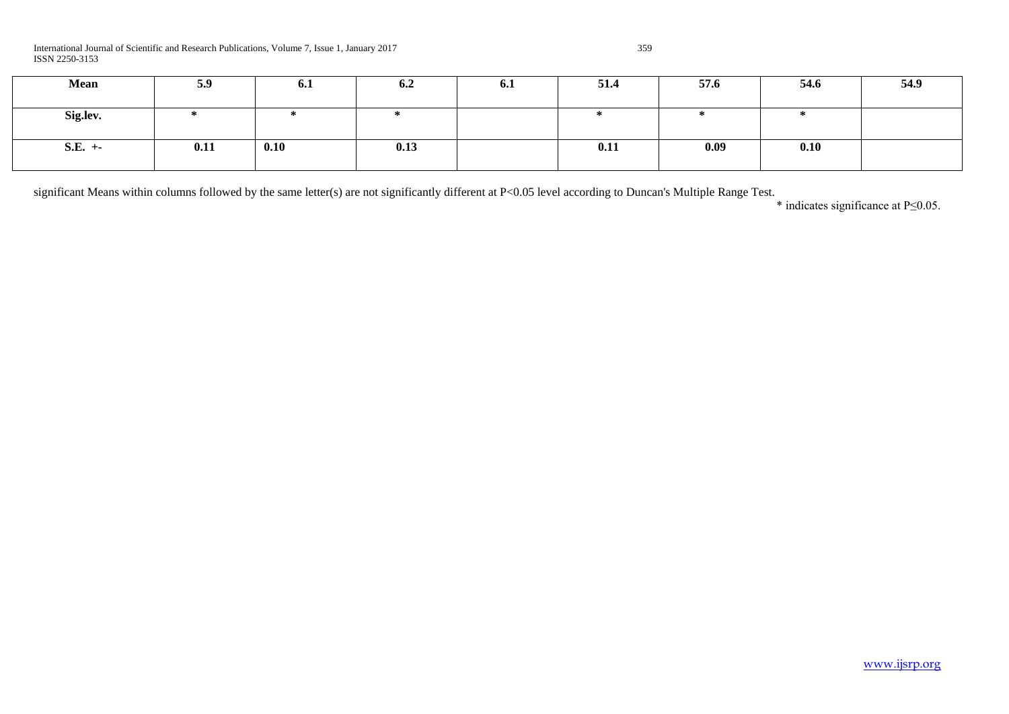| Mean      | 5.9  | 6.1  | 6.2  | 0.1 | 51.4 | 57.6 | 54.6 | 54.9 |
|-----------|------|------|------|-----|------|------|------|------|
| Sig.lev.  |      | ÷    |      |     |      |      |      |      |
| $S.E. +-$ | 0.11 | 0.10 | 0.13 |     | 0.11 | 0.09 | 0.10 |      |

significant Means within columns followed by the same letter(s) are not significantly different at P<0.05 level according to Duncan's Multiple Range Test.

\* indicates significance at P≤0.05.